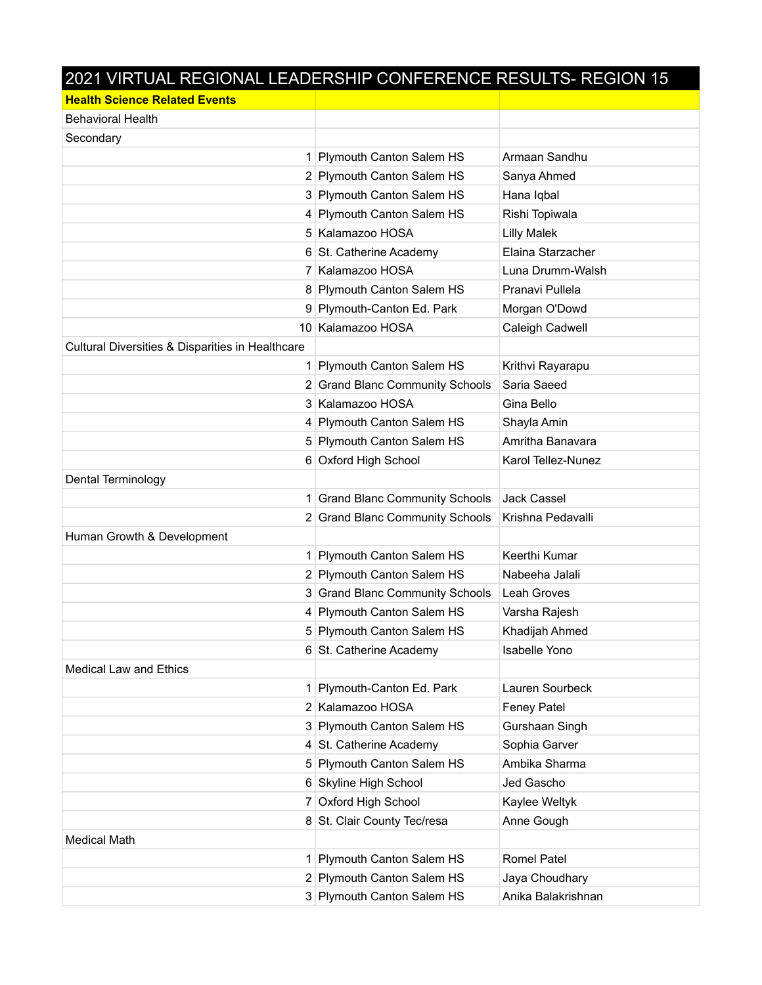## 2021 VIRTUAL REGIONAL LEADERSHIP CONFERENCE RESULTS- REGION 15

| <b>Health Science Related Events</b>             |                                      |                    |
|--------------------------------------------------|--------------------------------------|--------------------|
| <b>Behavioral Health</b>                         |                                      |                    |
| Secondary                                        |                                      |                    |
|                                                  | 1 Plymouth Canton Salem HS           | Armaan Sandhu      |
|                                                  | 2 Plymouth Canton Salem HS           | Sanya Ahmed        |
|                                                  | 3 Plymouth Canton Salem HS           | Hana Iqbal         |
|                                                  | 4 Plymouth Canton Salem HS           | Rishi Topiwala     |
|                                                  | 5 Kalamazoo HOSA                     | <b>Lilly Malek</b> |
|                                                  | 6 St. Catherine Academy              | Elaina Starzacher  |
|                                                  | 7 Kalamazoo HOSA                     | Luna Drumm-Walsh   |
|                                                  | 8 Plymouth Canton Salem HS           | Pranavi Pullela    |
|                                                  | 9 Plymouth-Canton Ed. Park           | Morgan O'Dowd      |
|                                                  | 10 Kalamazoo HOSA                    | Caleigh Cadwell    |
| Cultural Diversities & Disparities in Healthcare |                                      |                    |
| 1                                                | Plymouth Canton Salem HS             | Krithvi Rayarapu   |
|                                                  | 2 Grand Blanc Community Schools      | Saria Saeed        |
|                                                  | 3 Kalamazoo HOSA                     | Gina Bello         |
|                                                  | 4 Plymouth Canton Salem HS           | Shayla Amin        |
|                                                  | 5 Plymouth Canton Salem HS           | Amritha Banavara   |
|                                                  | 6 Oxford High School                 | Karol Tellez-Nunez |
| <b>Dental Terminology</b>                        |                                      |                    |
|                                                  | <b>Grand Blanc Community Schools</b> | <b>Jack Cassel</b> |
|                                                  | 2 Grand Blanc Community Schools      | Krishna Pedavalli  |
| Human Growth & Development                       |                                      |                    |
|                                                  | 1 Plymouth Canton Salem HS           | Keerthi Kumar      |
|                                                  | 2 Plymouth Canton Salem HS           | Nabeeha Jalali     |
|                                                  | 3 Grand Blanc Community Schools      | Leah Groves        |
|                                                  | 4 Plymouth Canton Salem HS           | Varsha Rajesh      |
|                                                  | 5 Plymouth Canton Salem HS           | Khadijah Ahmed     |
|                                                  | 6 St. Catherine Academy              | Isabelle Yono      |
| <b>Medical Law and Ethics</b>                    |                                      |                    |
| 1                                                | Plymouth-Canton Ed. Park             | Lauren Sourbeck    |
|                                                  | 2 Kalamazoo HOSA                     | <b>Feney Patel</b> |
|                                                  | 3 Plymouth Canton Salem HS           | Gurshaan Singh     |
|                                                  | 4 St. Catherine Academy              | Sophia Garver      |
|                                                  | 5 Plymouth Canton Salem HS           | Ambika Sharma      |
|                                                  | 6 Skyline High School                | Jed Gascho         |
|                                                  | 7 Oxford High School                 | Kaylee Weltyk      |
|                                                  | 8 St. Clair County Tec/resa          | Anne Gough         |
| <b>Medical Math</b>                              |                                      |                    |
| 1                                                | Plymouth Canton Salem HS             | <b>Romel Patel</b> |
|                                                  | 2 Plymouth Canton Salem HS           | Jaya Choudhary     |
|                                                  | 3 Plymouth Canton Salem HS           | Anika Balakrishnan |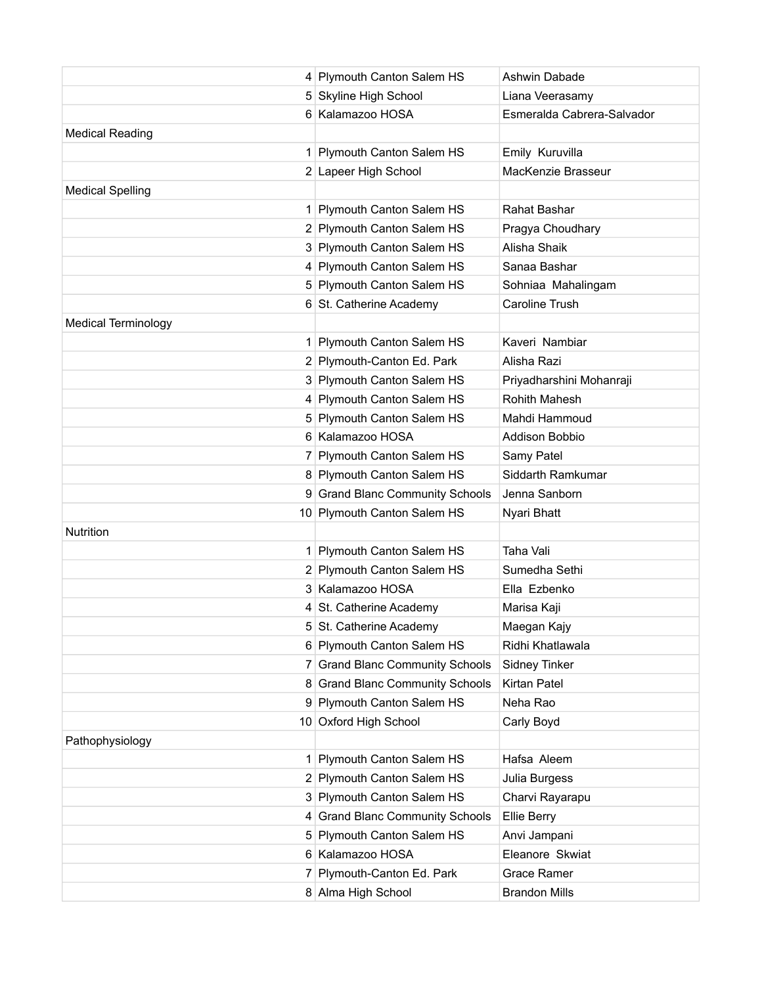|                            | 4 Plymouth Canton Salem HS      | Ashwin Dabade              |
|----------------------------|---------------------------------|----------------------------|
|                            | 5 Skyline High School           | Liana Veerasamy            |
|                            | 6 Kalamazoo HOSA                | Esmeralda Cabrera-Salvador |
| <b>Medical Reading</b>     |                                 |                            |
|                            | 1 Plymouth Canton Salem HS      | Emily Kuruvilla            |
|                            | 2 Lapeer High School            | MacKenzie Brasseur         |
| <b>Medical Spelling</b>    |                                 |                            |
|                            | 1 Plymouth Canton Salem HS      | Rahat Bashar               |
|                            | 2 Plymouth Canton Salem HS      | Pragya Choudhary           |
|                            | 3 Plymouth Canton Salem HS      | Alisha Shaik               |
|                            | 4 Plymouth Canton Salem HS      | Sanaa Bashar               |
|                            | 5 Plymouth Canton Salem HS      | Sohniaa Mahalingam         |
|                            | 6 St. Catherine Academy         | Caroline Trush             |
| <b>Medical Terminology</b> |                                 |                            |
|                            | 1 Plymouth Canton Salem HS      | Kaveri Nambiar             |
|                            | 2 Plymouth-Canton Ed. Park      | Alisha Razi                |
|                            | 3 Plymouth Canton Salem HS      | Priyadharshini Mohanraji   |
|                            | 4 Plymouth Canton Salem HS      | Rohith Mahesh              |
|                            | 5 Plymouth Canton Salem HS      | Mahdi Hammoud              |
|                            | 6 Kalamazoo HOSA                | <b>Addison Bobbio</b>      |
|                            | 7 Plymouth Canton Salem HS      | Samy Patel                 |
|                            | 8 Plymouth Canton Salem HS      | Siddarth Ramkumar          |
|                            | 9 Grand Blanc Community Schools | Jenna Sanborn              |
|                            | 10 Plymouth Canton Salem HS     | Nyari Bhatt                |
| <b>Nutrition</b>           |                                 |                            |
|                            | 1 Plymouth Canton Salem HS      | Taha Vali                  |
|                            | 2 Plymouth Canton Salem HS      | Sumedha Sethi              |
|                            | 3 Kalamazoo HOSA                | Ella Ezbenko               |
|                            | 4 St. Catherine Academy         | Marisa Kaji                |
|                            | 5 St. Catherine Academy         | Maegan Kajy                |
|                            | 6 Plymouth Canton Salem HS      | Ridhi Khatlawala           |
|                            | 7 Grand Blanc Community Schools | <b>Sidney Tinker</b>       |
|                            | 8 Grand Blanc Community Schools | Kirtan Patel               |
|                            | 9 Plymouth Canton Salem HS      | Neha Rao                   |
|                            | 10 Oxford High School           | Carly Boyd                 |
| Pathophysiology            |                                 |                            |
|                            | 1 Plymouth Canton Salem HS      | Hafsa Aleem                |
|                            | 2 Plymouth Canton Salem HS      | Julia Burgess              |
|                            | 3 Plymouth Canton Salem HS      | Charvi Rayarapu            |
|                            | 4 Grand Blanc Community Schools | Ellie Berry                |
|                            | 5 Plymouth Canton Salem HS      | Anvi Jampani               |
|                            | 6 Kalamazoo HOSA                | Eleanore Skwiat            |
|                            | 7 Plymouth-Canton Ed. Park      | Grace Ramer                |
|                            | 8 Alma High School              | <b>Brandon Mills</b>       |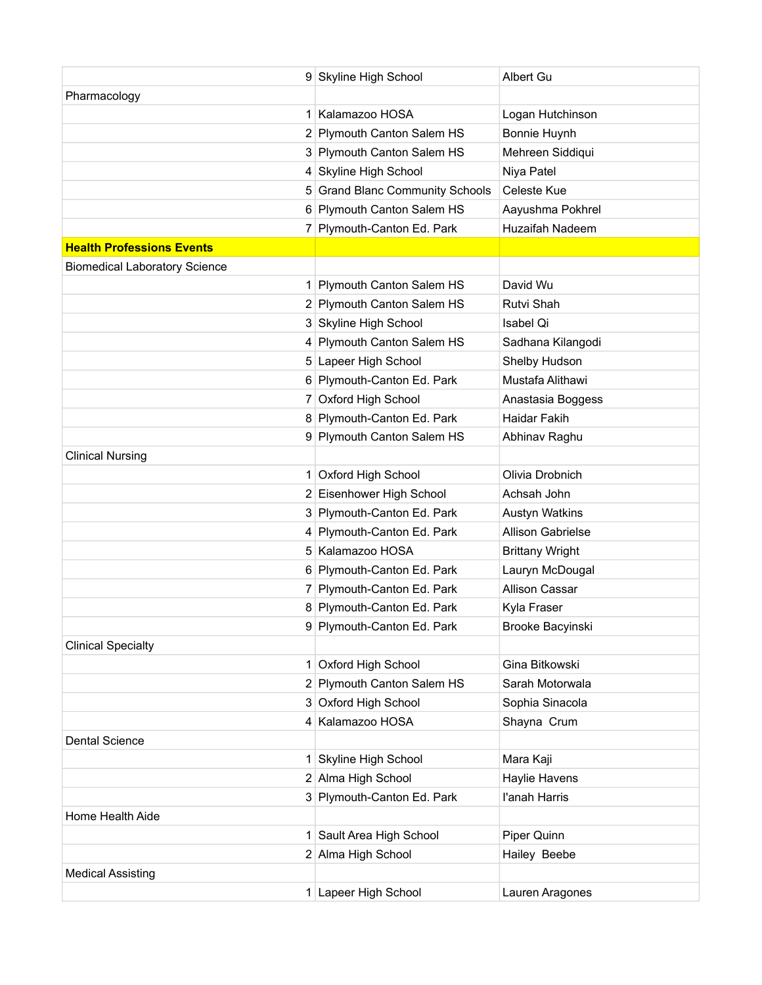|                                      | 9 Skyline High School           | Albert Gu                |
|--------------------------------------|---------------------------------|--------------------------|
| Pharmacology                         |                                 |                          |
|                                      | 1 Kalamazoo HOSA                | Logan Hutchinson         |
|                                      | 2 Plymouth Canton Salem HS      | Bonnie Huynh             |
|                                      | 3 Plymouth Canton Salem HS      | Mehreen Siddiqui         |
|                                      | 4 Skyline High School           | Niya Patel               |
|                                      | 5 Grand Blanc Community Schools | Celeste Kue              |
|                                      | 6 Plymouth Canton Salem HS      | Aayushma Pokhrel         |
|                                      | 7 Plymouth-Canton Ed. Park      | Huzaifah Nadeem          |
| <b>Health Professions Events</b>     |                                 |                          |
| <b>Biomedical Laboratory Science</b> |                                 |                          |
|                                      | 1 Plymouth Canton Salem HS      | David Wu                 |
|                                      | 2 Plymouth Canton Salem HS      | Rutvi Shah               |
|                                      | 3 Skyline High School           | Isabel Qi                |
|                                      | 4 Plymouth Canton Salem HS      | Sadhana Kilangodi        |
|                                      | 5 Lapeer High School            | Shelby Hudson            |
|                                      | 6 Plymouth-Canton Ed. Park      | Mustafa Alithawi         |
|                                      | 7 Oxford High School            | Anastasia Boggess        |
|                                      | 8 Plymouth-Canton Ed. Park      | Haidar Fakih             |
|                                      | 9 Plymouth Canton Salem HS      | Abhinav Raghu            |
| <b>Clinical Nursing</b>              |                                 |                          |
|                                      | 1 Oxford High School            | Olivia Drobnich          |
|                                      | 2 Eisenhower High School        | Achsah John              |
|                                      | 3 Plymouth-Canton Ed. Park      | <b>Austyn Watkins</b>    |
|                                      | 4 Plymouth-Canton Ed. Park      | <b>Allison Gabrielse</b> |
|                                      | 5 Kalamazoo HOSA                | <b>Brittany Wright</b>   |
|                                      | 6 Plymouth-Canton Ed. Park      | Lauryn McDougal          |
|                                      | 7 Plymouth-Canton Ed. Park      | <b>Allison Cassar</b>    |
|                                      | 8 Plymouth-Canton Ed. Park      | Kyla Fraser              |
|                                      | 9 Plymouth-Canton Ed. Park      | Brooke Bacyinski         |
| <b>Clinical Specialty</b>            |                                 |                          |
|                                      | 1 Oxford High School            | Gina Bitkowski           |
|                                      | 2 Plymouth Canton Salem HS      | Sarah Motorwala          |
|                                      | 3 Oxford High School            | Sophia Sinacola          |
|                                      | 4 Kalamazoo HOSA                | Shayna Crum              |
| <b>Dental Science</b>                |                                 |                          |
|                                      | 1 Skyline High School           | Mara Kaji                |
|                                      | 2 Alma High School              | Haylie Havens            |
|                                      | 3 Plymouth-Canton Ed. Park      | l'anah Harris            |
| Home Health Aide                     |                                 |                          |
|                                      | 1 Sault Area High School        | Piper Quinn              |
|                                      | 2 Alma High School              | Hailey Beebe             |
| <b>Medical Assisting</b>             |                                 |                          |
|                                      | 1 Lapeer High School            | Lauren Aragones          |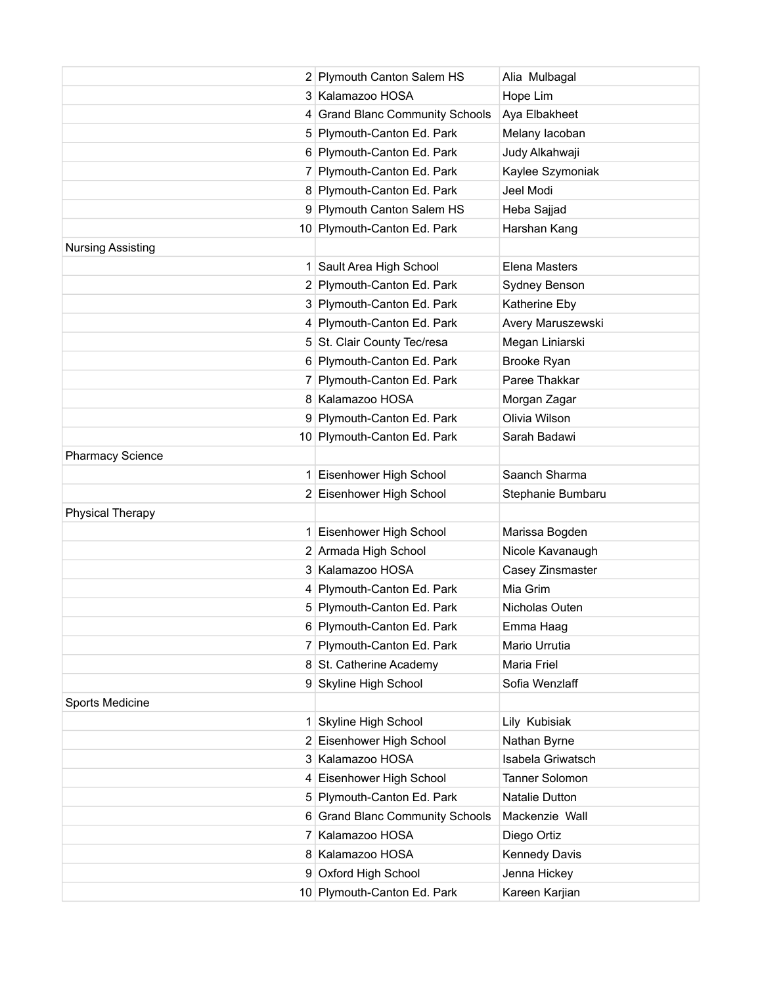|                          | 2 Plymouth Canton Salem HS      | Alia Mulbagal        |
|--------------------------|---------------------------------|----------------------|
|                          | 3 Kalamazoo HOSA                | Hope Lim             |
|                          | 4 Grand Blanc Community Schools | Aya Elbakheet        |
|                          | 5 Plymouth-Canton Ed. Park      | Melany lacoban       |
|                          | 6 Plymouth-Canton Ed. Park      | Judy Alkahwaji       |
|                          | 7 Plymouth-Canton Ed. Park      | Kaylee Szymoniak     |
|                          | 8 Plymouth-Canton Ed. Park      | Jeel Modi            |
|                          | 9 Plymouth Canton Salem HS      | Heba Sajjad          |
|                          | 10 Plymouth-Canton Ed. Park     | Harshan Kang         |
| <b>Nursing Assisting</b> |                                 |                      |
|                          | 1 Sault Area High School        | <b>Elena Masters</b> |
|                          | 2 Plymouth-Canton Ed. Park      | Sydney Benson        |
|                          | 3 Plymouth-Canton Ed. Park      | Katherine Eby        |
|                          | 4 Plymouth-Canton Ed. Park      | Avery Maruszewski    |
|                          | 5 St. Clair County Tec/resa     | Megan Liniarski      |
|                          | 6 Plymouth-Canton Ed. Park      | Brooke Ryan          |
|                          | 7 Plymouth-Canton Ed. Park      | Paree Thakkar        |
|                          | 8 Kalamazoo HOSA                | Morgan Zagar         |
|                          | 9 Plymouth-Canton Ed. Park      | Olivia Wilson        |
|                          | 10 Plymouth-Canton Ed. Park     | Sarah Badawi         |
| <b>Pharmacy Science</b>  |                                 |                      |
| 1                        | Eisenhower High School          | Saanch Sharma        |
|                          | 2 Eisenhower High School        | Stephanie Bumbaru    |
| <b>Physical Therapy</b>  |                                 |                      |
| 1                        | Eisenhower High School          | Marissa Bogden       |
|                          | 2 Armada High School            | Nicole Kavanaugh     |
|                          | 3 Kalamazoo HOSA                | Casey Zinsmaster     |
|                          | 4 Plymouth-Canton Ed. Park      | Mia Grim             |
|                          | 5 Plymouth-Canton Ed. Park      | Nicholas Outen       |
|                          | 6 Plymouth-Canton Ed. Park      | Emma Haag            |
|                          | 7 Plymouth-Canton Ed. Park      | Mario Urrutia        |
|                          | 8 St. Catherine Academy         | Maria Friel          |
|                          | 9 Skyline High School           | Sofia Wenzlaff       |
| Sports Medicine          |                                 |                      |
| 1                        | Skyline High School             | Lily Kubisiak        |
|                          | 2 Eisenhower High School        | Nathan Byrne         |
|                          | 3 Kalamazoo HOSA                | Isabela Griwatsch    |
|                          | 4 Eisenhower High School        | Tanner Solomon       |
|                          | 5 Plymouth-Canton Ed. Park      | Natalie Dutton       |
|                          | 6 Grand Blanc Community Schools | Mackenzie Wall       |
|                          | 7 Kalamazoo HOSA                | Diego Ortiz          |
|                          | 8 Kalamazoo HOSA                | <b>Kennedy Davis</b> |
|                          | 9 Oxford High School            | Jenna Hickey         |
|                          | 10 Plymouth-Canton Ed. Park     | Kareen Karjian       |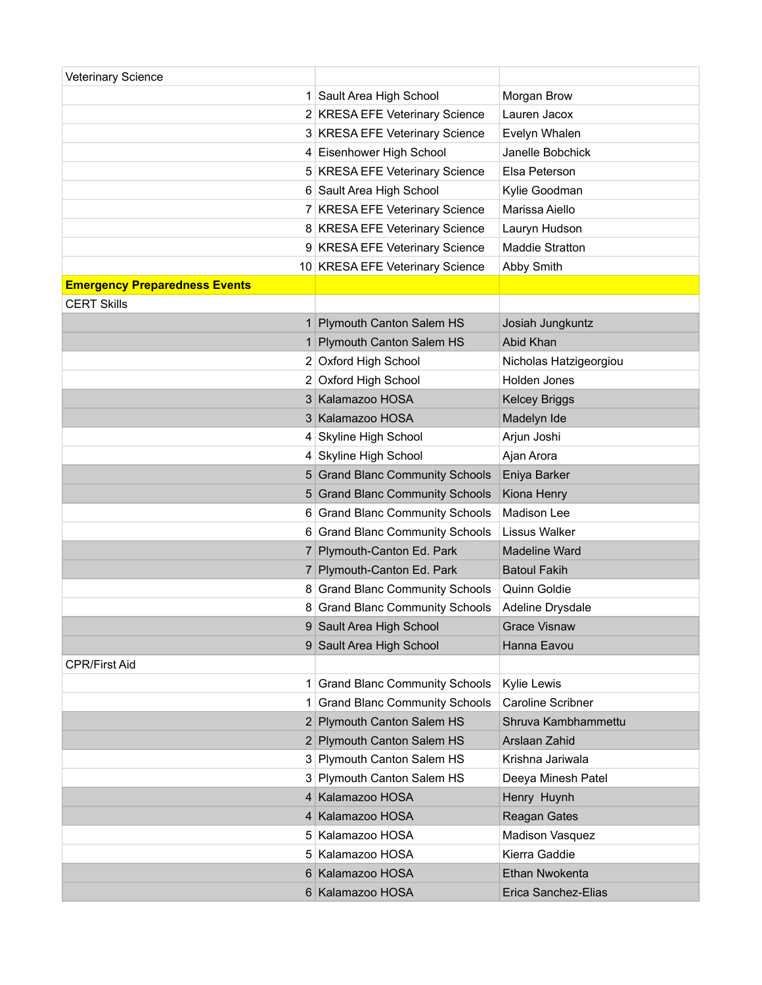| <b>Veterinary Science</b>            |                                      |                          |
|--------------------------------------|--------------------------------------|--------------------------|
|                                      | 1 Sault Area High School             | Morgan Brow              |
|                                      | 2 KRESA EFE Veterinary Science       | Lauren Jacox             |
|                                      | 3 KRESA EFE Veterinary Science       | Evelyn Whalen            |
|                                      | 4 Eisenhower High School             | Janelle Bobchick         |
|                                      | 5 KRESA EFE Veterinary Science       | Elsa Peterson            |
|                                      | 6 Sault Area High School             | Kylie Goodman            |
|                                      | 7 KRESA EFE Veterinary Science       | Marissa Aiello           |
|                                      | 8 KRESA EFE Veterinary Science       | Lauryn Hudson            |
|                                      | 9 KRESA EFE Veterinary Science       | Maddie Stratton          |
|                                      | 10 KRESA EFE Veterinary Science      | Abby Smith               |
| <b>Emergency Preparedness Events</b> |                                      |                          |
| <b>CERT Skills</b>                   |                                      |                          |
|                                      | 1 Plymouth Canton Salem HS           | Josiah Jungkuntz         |
|                                      | 1 Plymouth Canton Salem HS           | Abid Khan                |
|                                      | 2 Oxford High School                 | Nicholas Hatzigeorgiou   |
|                                      | 2 Oxford High School                 | Holden Jones             |
|                                      | 3 Kalamazoo HOSA                     | <b>Kelcey Briggs</b>     |
|                                      | 3 Kalamazoo HOSA                     | Madelyn Ide              |
|                                      | 4 Skyline High School                | Arjun Joshi              |
|                                      | 4 Skyline High School                | Ajan Arora               |
|                                      | 5 Grand Blanc Community Schools      | Eniya Barker             |
|                                      | 5 Grand Blanc Community Schools      | Kiona Henry              |
|                                      | 6 Grand Blanc Community Schools      | Madison Lee              |
|                                      | 6 Grand Blanc Community Schools      | <b>Lissus Walker</b>     |
|                                      | 7 Plymouth-Canton Ed. Park           | <b>Madeline Ward</b>     |
|                                      | 7 Plymouth-Canton Ed. Park           | <b>Batoul Fakih</b>      |
|                                      | 8 Grand Blanc Community Schools      | Quinn Goldie             |
|                                      | 8 Grand Blanc Community Schools      | Adeline Drysdale         |
|                                      | 9 Sault Area High School             | <b>Grace Visnaw</b>      |
|                                      | 9 Sault Area High School             | Hanna Eavou              |
| <b>CPR/First Aid</b>                 |                                      |                          |
|                                      | 1 Grand Blanc Community Schools      | Kylie Lewis              |
| 1                                    | <b>Grand Blanc Community Schools</b> | <b>Caroline Scribner</b> |
|                                      | 2 Plymouth Canton Salem HS           | Shruva Kambhammettu      |
|                                      | 2 Plymouth Canton Salem HS           | Arslaan Zahid            |
|                                      | 3 Plymouth Canton Salem HS           | Krishna Jariwala         |
|                                      | 3 Plymouth Canton Salem HS           | Deeya Minesh Patel       |
|                                      | 4 Kalamazoo HOSA                     | Henry Huynh              |
|                                      | 4 Kalamazoo HOSA                     | Reagan Gates             |
|                                      | 5 Kalamazoo HOSA                     | Madison Vasquez          |
|                                      | 5 Kalamazoo HOSA                     | Kierra Gaddie            |
|                                      | 6 Kalamazoo HOSA                     | Ethan Nwokenta           |
|                                      | 6 Kalamazoo HOSA                     | Erica Sanchez-Elias      |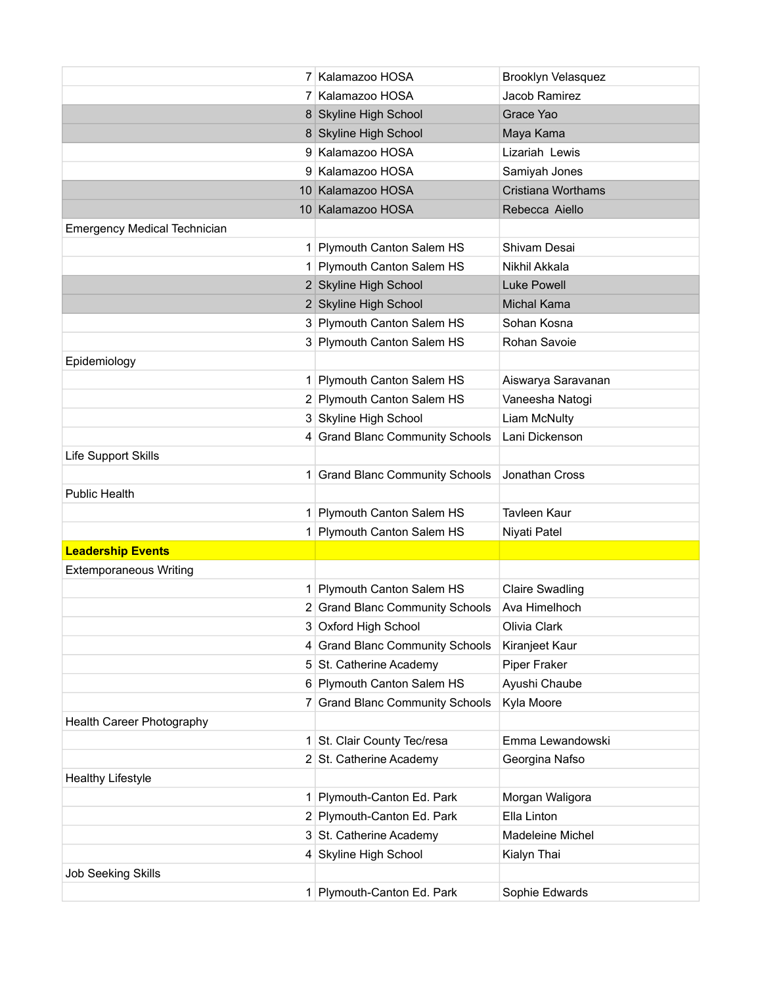|                                     | 7 Kalamazoo HOSA                | Brooklyn Velasquez        |
|-------------------------------------|---------------------------------|---------------------------|
|                                     | 7 Kalamazoo HOSA                | Jacob Ramirez             |
|                                     | 8 Skyline High School           | Grace Yao                 |
|                                     | 8 Skyline High School           | Maya Kama                 |
|                                     | 9 Kalamazoo HOSA                | Lizariah Lewis            |
|                                     | 9 Kalamazoo HOSA                | Samiyah Jones             |
|                                     | 10 Kalamazoo HOSA               | <b>Cristiana Worthams</b> |
|                                     | 10 Kalamazoo HOSA               | Rebecca Aiello            |
| <b>Emergency Medical Technician</b> |                                 |                           |
|                                     | 1 Plymouth Canton Salem HS      | Shivam Desai              |
|                                     | 1 Plymouth Canton Salem HS      | Nikhil Akkala             |
|                                     | 2 Skyline High School           | Luke Powell               |
|                                     | 2 Skyline High School           | Michal Kama               |
|                                     | 3 Plymouth Canton Salem HS      | Sohan Kosna               |
|                                     | 3 Plymouth Canton Salem HS      | Rohan Savoie              |
| Epidemiology                        |                                 |                           |
|                                     | 1 Plymouth Canton Salem HS      | Aiswarya Saravanan        |
|                                     | 2 Plymouth Canton Salem HS      | Vaneesha Natogi           |
|                                     | 3 Skyline High School           | Liam McNulty              |
|                                     | 4 Grand Blanc Community Schools | Lani Dickenson            |
| Life Support Skills                 |                                 |                           |
|                                     | 1 Grand Blanc Community Schools | Jonathan Cross            |
| <b>Public Health</b>                |                                 |                           |
|                                     | 1 Plymouth Canton Salem HS      | <b>Tavleen Kaur</b>       |
|                                     | 1 Plymouth Canton Salem HS      | Niyati Patel              |
| <b>Leadership Events</b>            |                                 |                           |
| <b>Extemporaneous Writing</b>       |                                 |                           |
|                                     | 1 Plymouth Canton Salem HS      | <b>Claire Swadling</b>    |
|                                     | 2 Grand Blanc Community Schools | Ava Himelhoch             |
|                                     | 3 Oxford High School            | Olivia Clark              |
|                                     | 4 Grand Blanc Community Schools | Kiranjeet Kaur            |
|                                     | 5 St. Catherine Academy         | Piper Fraker              |
|                                     | 6 Plymouth Canton Salem HS      | Ayushi Chaube             |
|                                     | 7 Grand Blanc Community Schools | Kyla Moore                |
| Health Career Photography           |                                 |                           |
|                                     | 1 St. Clair County Tec/resa     | Emma Lewandowski          |
|                                     | 2 St. Catherine Academy         | Georgina Nafso            |
| <b>Healthy Lifestyle</b>            |                                 |                           |
|                                     | 1 Plymouth-Canton Ed. Park      | Morgan Waligora           |
|                                     | 2 Plymouth-Canton Ed. Park      | Ella Linton               |
|                                     | 3 St. Catherine Academy         | Madeleine Michel          |
|                                     | 4 Skyline High School           | Kialyn Thai               |
| <b>Job Seeking Skills</b>           |                                 |                           |
|                                     | 1 Plymouth-Canton Ed. Park      | Sophie Edwards            |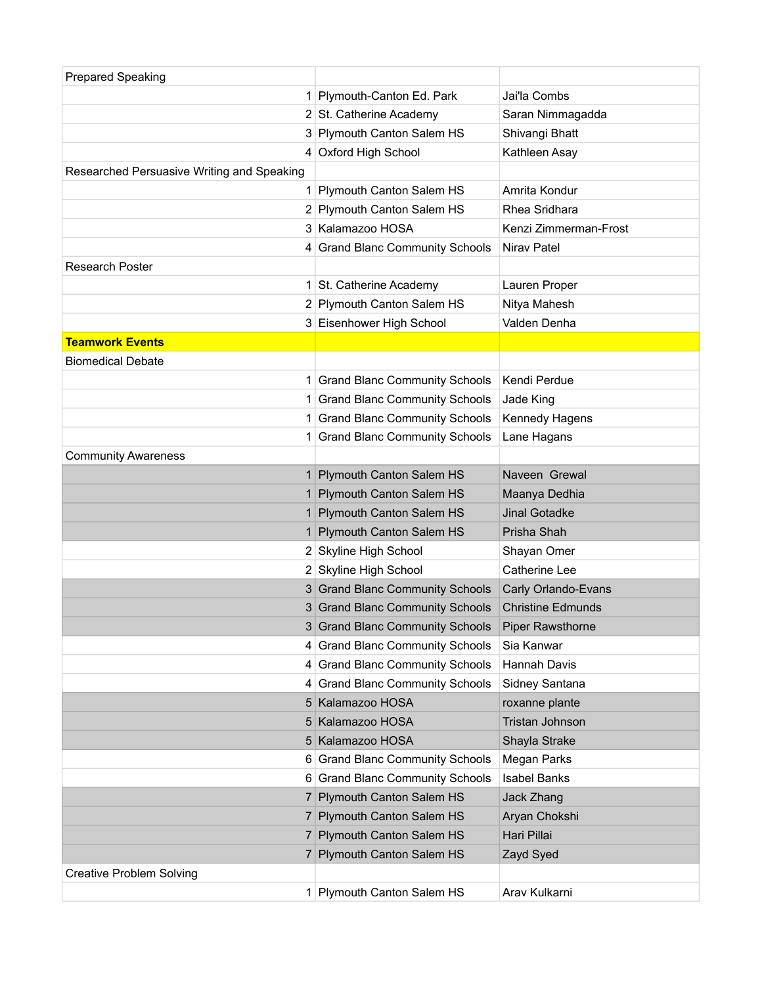| <b>Prepared Speaking</b>                   |                                      |                          |
|--------------------------------------------|--------------------------------------|--------------------------|
|                                            | 1 Plymouth-Canton Ed. Park           | Jai'la Combs             |
|                                            | 2 St. Catherine Academy              | Saran Nimmagadda         |
|                                            | 3 Plymouth Canton Salem HS           | Shivangi Bhatt           |
|                                            | 4 Oxford High School                 | Kathleen Asay            |
| Researched Persuasive Writing and Speaking |                                      |                          |
| 1 <sup>1</sup>                             | Plymouth Canton Salem HS             | Amrita Kondur            |
|                                            | 2 Plymouth Canton Salem HS           | Rhea Sridhara            |
|                                            | 3 Kalamazoo HOSA                     | Kenzi Zimmerman-Frost    |
|                                            | 4 Grand Blanc Community Schools      | Nirav Patel              |
| <b>Research Poster</b>                     |                                      |                          |
|                                            | 1 St. Catherine Academy              | Lauren Proper            |
|                                            | 2 Plymouth Canton Salem HS           | Nitya Mahesh             |
|                                            | 3 Eisenhower High School             | Valden Denha             |
| <b>Teamwork Events</b>                     |                                      |                          |
| <b>Biomedical Debate</b>                   |                                      |                          |
|                                            | 1 Grand Blanc Community Schools      | Kendi Perdue             |
|                                            | 1 Grand Blanc Community Schools      | Jade King                |
|                                            | 1 Grand Blanc Community Schools      | Kennedy Hagens           |
|                                            | 1 Grand Blanc Community Schools      | Lane Hagans              |
| <b>Community Awareness</b>                 |                                      |                          |
|                                            | 1 Plymouth Canton Salem HS           | Naveen Grewal            |
|                                            | 1 Plymouth Canton Salem HS           | Maanya Dedhia            |
|                                            | 1 Plymouth Canton Salem HS           | Jinal Gotadke            |
| 1 <sup>1</sup>                             | <b>Plymouth Canton Salem HS</b>      | Prisha Shah              |
|                                            | 2 Skyline High School                | Shayan Omer              |
|                                            | 2 Skyline High School                | Catherine Lee            |
|                                            | 3 Grand Blanc Community Schools      | Carly Orlando-Evans      |
|                                            | 3 Grand Blanc Community Schools      | <b>Christine Edmunds</b> |
|                                            | 3 Grand Blanc Community Schools      | <b>Piper Rawsthorne</b>  |
|                                            | 4 Grand Blanc Community Schools      | Sia Kanwar               |
|                                            | 4 Grand Blanc Community Schools      | <b>Hannah Davis</b>      |
| 4                                          | <b>Grand Blanc Community Schools</b> | Sidney Santana           |
|                                            | 5 Kalamazoo HOSA                     | roxanne plante           |
|                                            | 5 Kalamazoo HOSA                     | Tristan Johnson          |
|                                            | 5 Kalamazoo HOSA                     | Shayla Strake            |
|                                            | 6 Grand Blanc Community Schools      | Megan Parks              |
|                                            | 6 Grand Blanc Community Schools      | <b>Isabel Banks</b>      |
|                                            | 7 Plymouth Canton Salem HS           | Jack Zhang               |
|                                            | 7 Plymouth Canton Salem HS           | Aryan Chokshi            |
|                                            | 7 Plymouth Canton Salem HS           | Hari Pillai              |
|                                            | 7 Plymouth Canton Salem HS           | Zayd Syed                |
| <b>Creative Problem Solving</b>            |                                      |                          |
|                                            | 1 Plymouth Canton Salem HS           | Arav Kulkarni            |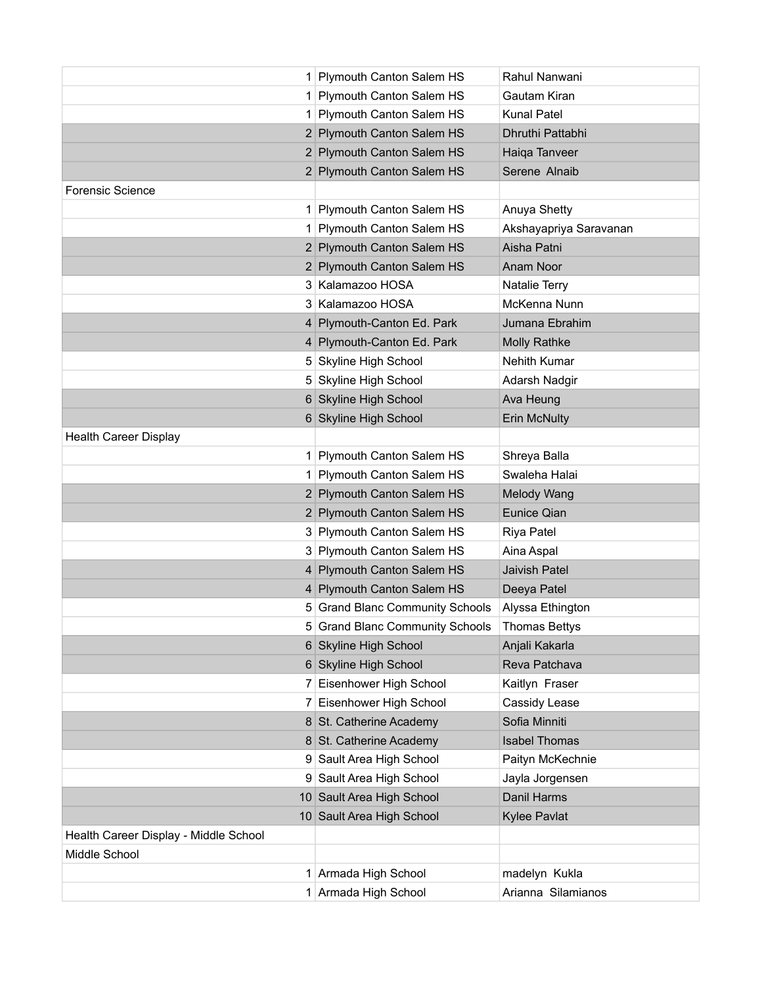|                                       | 1 Plymouth Canton Salem HS      | Rahul Nanwani          |
|---------------------------------------|---------------------------------|------------------------|
|                                       | 1 Plymouth Canton Salem HS      | Gautam Kiran           |
|                                       | 1 Plymouth Canton Salem HS      | Kunal Patel            |
|                                       | 2 Plymouth Canton Salem HS      | Dhruthi Pattabhi       |
|                                       | 2 Plymouth Canton Salem HS      | Haiqa Tanveer          |
|                                       | 2 Plymouth Canton Salem HS      | Serene Alnaib          |
| <b>Forensic Science</b>               |                                 |                        |
|                                       | 1 Plymouth Canton Salem HS      | Anuya Shetty           |
|                                       | 1 Plymouth Canton Salem HS      | Akshayapriya Saravanan |
|                                       | 2 Plymouth Canton Salem HS      | Aisha Patni            |
|                                       | 2 Plymouth Canton Salem HS      | Anam Noor              |
|                                       | 3 Kalamazoo HOSA                | Natalie Terry          |
|                                       | 3 Kalamazoo HOSA                | McKenna Nunn           |
|                                       | 4 Plymouth-Canton Ed. Park      | Jumana Ebrahim         |
|                                       | 4 Plymouth-Canton Ed. Park      | <b>Molly Rathke</b>    |
|                                       | 5 Skyline High School           | Nehith Kumar           |
|                                       | 5 Skyline High School           | Adarsh Nadgir          |
|                                       | 6 Skyline High School           | Ava Heung              |
|                                       | 6 Skyline High School           | <b>Erin McNulty</b>    |
| <b>Health Career Display</b>          |                                 |                        |
|                                       | 1 Plymouth Canton Salem HS      | Shreya Balla           |
|                                       | 1 Plymouth Canton Salem HS      | Swaleha Halai          |
|                                       | 2 Plymouth Canton Salem HS      | Melody Wang            |
|                                       | 2 Plymouth Canton Salem HS      | Eunice Qian            |
|                                       | 3 Plymouth Canton Salem HS      | Riya Patel             |
|                                       | 3 Plymouth Canton Salem HS      | Aina Aspal             |
|                                       | 4 Plymouth Canton Salem HS      | Jaivish Patel          |
|                                       | 4 Plymouth Canton Salem HS      | Deeya Patel            |
|                                       | 5 Grand Blanc Community Schools | Alyssa Ethington       |
|                                       | 5 Grand Blanc Community Schools | <b>Thomas Bettys</b>   |
|                                       | 6 Skyline High School           | Anjali Kakarla         |
|                                       | 6 Skyline High School           | Reva Patchava          |
|                                       | 7 Eisenhower High School        | Kaitlyn Fraser         |
|                                       | 7 Eisenhower High School        | Cassidy Lease          |
|                                       | 8 St. Catherine Academy         | Sofia Minniti          |
|                                       | 8 St. Catherine Academy         | <b>Isabel Thomas</b>   |
|                                       | 9 Sault Area High School        | Paityn McKechnie       |
|                                       | 9 Sault Area High School        | Jayla Jorgensen        |
|                                       | 10 Sault Area High School       | Danil Harms            |
|                                       | 10 Sault Area High School       | Kylee Pavlat           |
| Health Career Display - Middle School |                                 |                        |
| Middle School                         |                                 |                        |
|                                       | 1 Armada High School            | madelyn Kukla          |
|                                       | 1 Armada High School            | Arianna Silamianos     |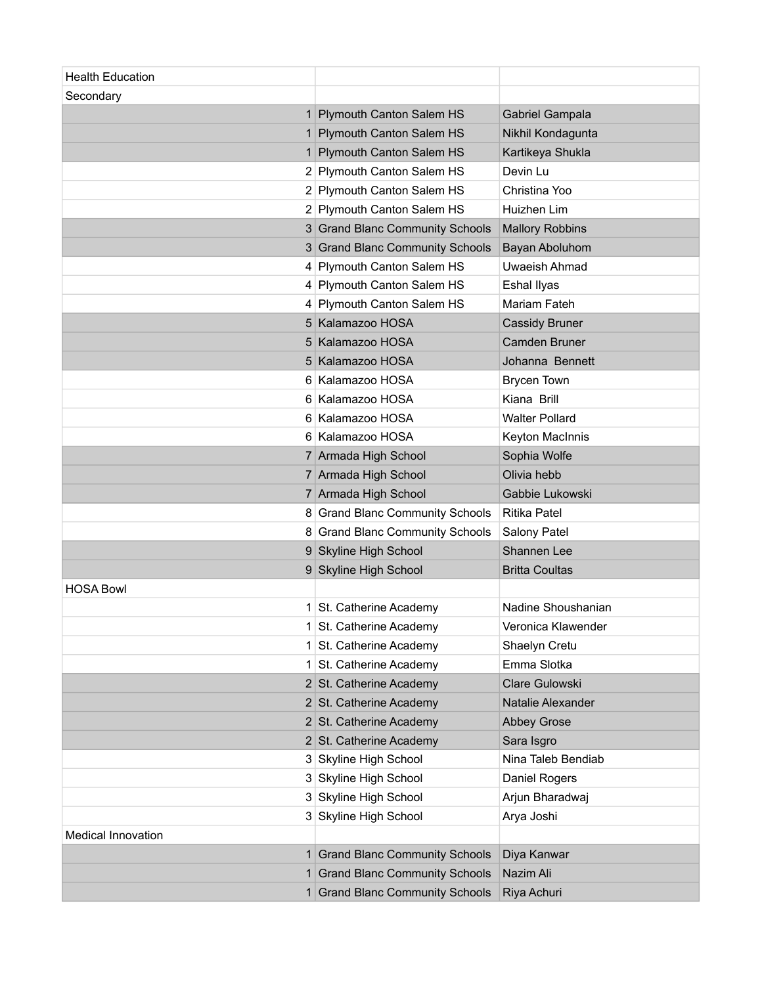| <b>Health Education</b> |                                      |                        |
|-------------------------|--------------------------------------|------------------------|
| Secondary               |                                      |                        |
| 1                       | Plymouth Canton Salem HS             | Gabriel Gampala        |
| 1                       | Plymouth Canton Salem HS             | Nikhil Kondagunta      |
| 1                       | <b>Plymouth Canton Salem HS</b>      | Kartikeya Shukla       |
|                         | 2 Plymouth Canton Salem HS           | Devin Lu               |
|                         | 2 Plymouth Canton Salem HS           | Christina Yoo          |
|                         | 2 Plymouth Canton Salem HS           | Huizhen Lim            |
|                         | 3 Grand Blanc Community Schools      | <b>Mallory Robbins</b> |
|                         | 3 Grand Blanc Community Schools      | Bayan Aboluhom         |
|                         | 4 Plymouth Canton Salem HS           | Uwaeish Ahmad          |
|                         | 4 Plymouth Canton Salem HS           | Eshal Ilyas            |
|                         | 4 Plymouth Canton Salem HS           | Mariam Fateh           |
|                         | 5 Kalamazoo HOSA                     | <b>Cassidy Bruner</b>  |
|                         | 5 Kalamazoo HOSA                     | Camden Bruner          |
|                         | 5 Kalamazoo HOSA                     | Johanna Bennett        |
|                         | 6 Kalamazoo HOSA                     | <b>Brycen Town</b>     |
|                         | 6 Kalamazoo HOSA                     | Kiana Brill            |
|                         | 6 Kalamazoo HOSA                     | <b>Walter Pollard</b>  |
|                         | 6 Kalamazoo HOSA                     | Keyton MacInnis        |
|                         | 7 Armada High School                 | Sophia Wolfe           |
|                         | 7 Armada High School                 | Olivia hebb            |
|                         | 7 Armada High School                 | Gabbie Lukowski        |
|                         | 8 Grand Blanc Community Schools      | <b>Ritika Patel</b>    |
|                         | 8 Grand Blanc Community Schools      | Salony Patel           |
|                         | 9 Skyline High School                | Shannen Lee            |
|                         | 9 Skyline High School                | <b>Britta Coultas</b>  |
| <b>HOSA Bowl</b>        |                                      |                        |
| 1                       | St. Catherine Academy                | Nadine Shoushanian     |
|                         | St. Catherine Academy                | Veronica Klawender     |
| 1                       | St. Catherine Academy                | Shaelyn Cretu          |
| 1                       | St. Catherine Academy                | Emma Slotka            |
|                         | 2 St. Catherine Academy              | <b>Clare Gulowski</b>  |
|                         | 2 St. Catherine Academy              | Natalie Alexander      |
|                         | 2 St. Catherine Academy              | <b>Abbey Grose</b>     |
|                         | 2 St. Catherine Academy              | Sara Isgro             |
|                         | 3 Skyline High School                | Nina Taleb Bendiab     |
|                         | 3 Skyline High School                | Daniel Rogers          |
|                         | 3 Skyline High School                | Arjun Bharadwaj        |
|                         | 3 Skyline High School                | Arya Joshi             |
| Medical Innovation      |                                      |                        |
|                         | 1 Grand Blanc Community Schools      | Diya Kanwar            |
| 1 <sup>1</sup>          | <b>Grand Blanc Community Schools</b> | Nazim Ali              |
|                         | 1 Grand Blanc Community Schools      | Riya Achuri            |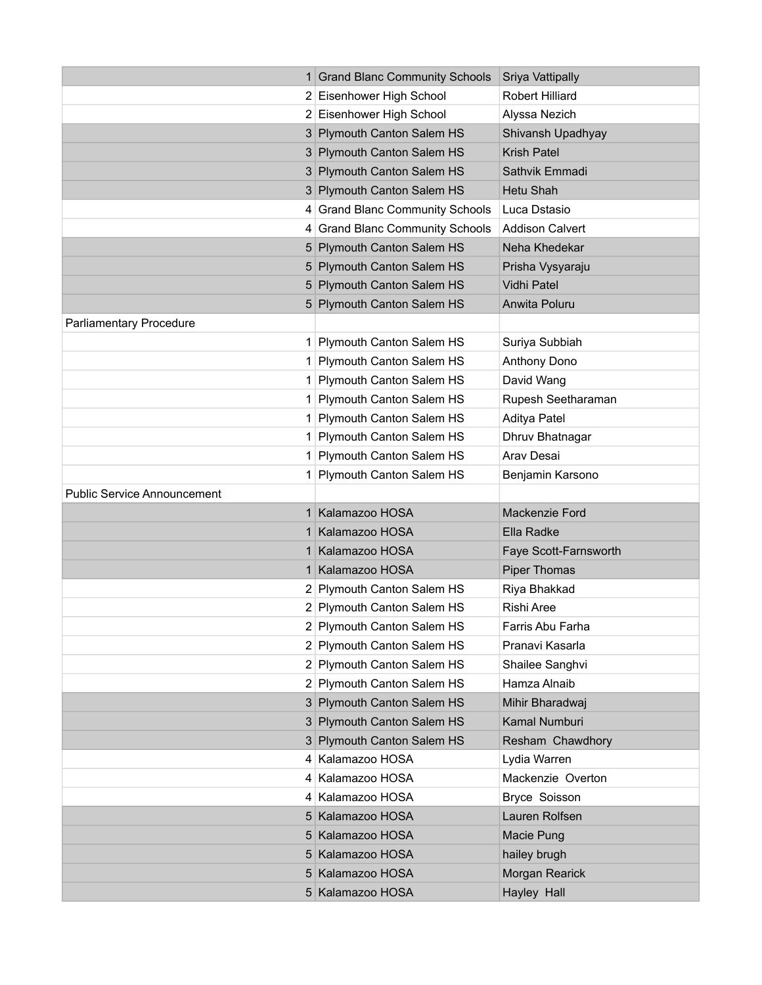|                                    | 1 Grand Blanc Community Schools | Sriya Vattipally       |
|------------------------------------|---------------------------------|------------------------|
|                                    | 2 Eisenhower High School        | <b>Robert Hilliard</b> |
|                                    | 2 Eisenhower High School        | Alyssa Nezich          |
|                                    | 3 Plymouth Canton Salem HS      | Shivansh Upadhyay      |
|                                    | 3 Plymouth Canton Salem HS      | Krish Patel            |
|                                    | 3 Plymouth Canton Salem HS      | Sathvik Emmadi         |
|                                    | 3 Plymouth Canton Salem HS      | Hetu Shah              |
|                                    | 4 Grand Blanc Community Schools | Luca Dstasio           |
|                                    | 4 Grand Blanc Community Schools | <b>Addison Calvert</b> |
|                                    | 5 Plymouth Canton Salem HS      | Neha Khedekar          |
|                                    | 5 Plymouth Canton Salem HS      | Prisha Vysyaraju       |
|                                    | 5 Plymouth Canton Salem HS      | Vidhi Patel            |
|                                    | 5 Plymouth Canton Salem HS      | Anwita Poluru          |
| <b>Parliamentary Procedure</b>     |                                 |                        |
| 1                                  | Plymouth Canton Salem HS        | Suriya Subbiah         |
| 1                                  | Plymouth Canton Salem HS        | Anthony Dono           |
| 1                                  | Plymouth Canton Salem HS        | David Wang             |
| 1                                  | Plymouth Canton Salem HS        | Rupesh Seetharaman     |
| 1                                  | Plymouth Canton Salem HS        | Aditya Patel           |
| 1                                  | Plymouth Canton Salem HS        | Dhruv Bhatnagar        |
| 1                                  | Plymouth Canton Salem HS        | Arav Desai             |
| 1                                  | Plymouth Canton Salem HS        | Benjamin Karsono       |
|                                    |                                 |                        |
| <b>Public Service Announcement</b> |                                 |                        |
|                                    | Kalamazoo HOSA                  | Mackenzie Ford         |
|                                    | Kalamazoo HOSA                  | Ella Radke             |
|                                    | Kalamazoo HOSA                  | Faye Scott-Farnsworth  |
| 1                                  | Kalamazoo HOSA                  | <b>Piper Thomas</b>    |
|                                    | 2 Plymouth Canton Salem HS      | Riya Bhakkad           |
|                                    | 2 Plymouth Canton Salem HS      | Rishi Aree             |
|                                    | 2 Plymouth Canton Salem HS      | Farris Abu Farha       |
|                                    | 2 Plymouth Canton Salem HS      | Pranavi Kasarla        |
|                                    | 2 Plymouth Canton Salem HS      | Shailee Sanghvi        |
|                                    | 2 Plymouth Canton Salem HS      | Hamza Alnaib           |
|                                    | 3 Plymouth Canton Salem HS      | Mihir Bharadwaj        |
|                                    | 3 Plymouth Canton Salem HS      | Kamal Numburi          |
|                                    | 3 Plymouth Canton Salem HS      | Resham Chawdhory       |
|                                    | 4 Kalamazoo HOSA                | Lydia Warren           |
|                                    | 4 Kalamazoo HOSA                | Mackenzie Overton      |
|                                    | 4 Kalamazoo HOSA                | Bryce Soisson          |
|                                    | 5 Kalamazoo HOSA                | Lauren Rolfsen         |
|                                    | 5 Kalamazoo HOSA                | Macie Pung             |
|                                    | 5 Kalamazoo HOSA                | hailey brugh           |
|                                    | 5 Kalamazoo HOSA                | Morgan Rearick         |